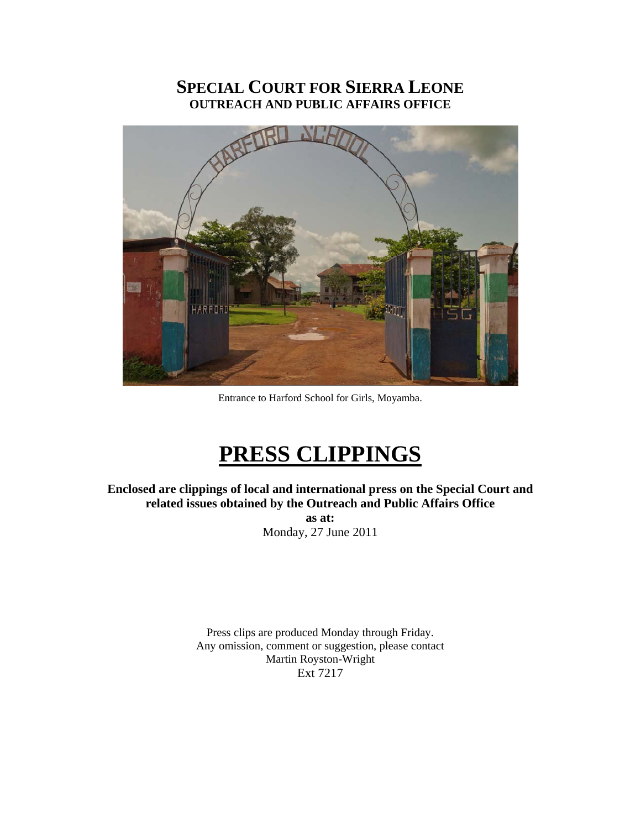#### **SPECIAL COURT FOR SIERRA LEONE OUTREACH AND PUBLIC AFFAIRS OFFICE**



Entrance to Harford School for Girls, Moyamba.

## **PRESS CLIPPINGS**

**Enclosed are clippings of local and international press on the Special Court and related issues obtained by the Outreach and Public Affairs Office** 

> **as at:**  Monday, 27 June 2011

Press clips are produced Monday through Friday. Any omission, comment or suggestion, please contact Martin Royston-Wright Ext 7217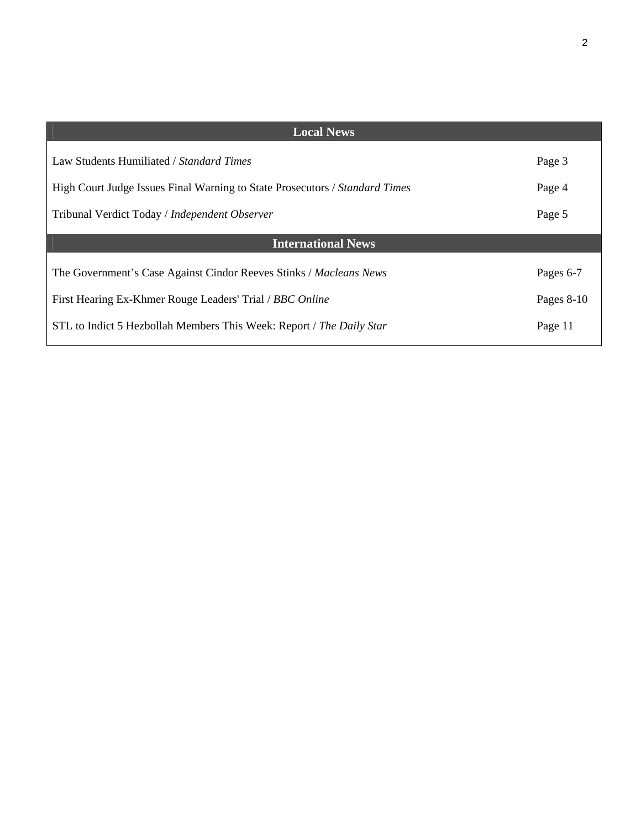| <b>Local News</b>                                                           |            |
|-----------------------------------------------------------------------------|------------|
| Law Students Humiliated / Standard Times                                    | Page 3     |
| High Court Judge Issues Final Warning to State Prosecutors / Standard Times | Page 4     |
| Tribunal Verdict Today / Independent Observer                               | Page 5     |
| <b>International News</b>                                                   |            |
| The Government's Case Against Cindor Reeves Stinks / Macleans News          | Pages 6-7  |
| First Hearing Ex-Khmer Rouge Leaders' Trial / BBC Online                    | Pages 8-10 |
| STL to Indict 5 Hezbollah Members This Week: Report / The Daily Star        | Page 11    |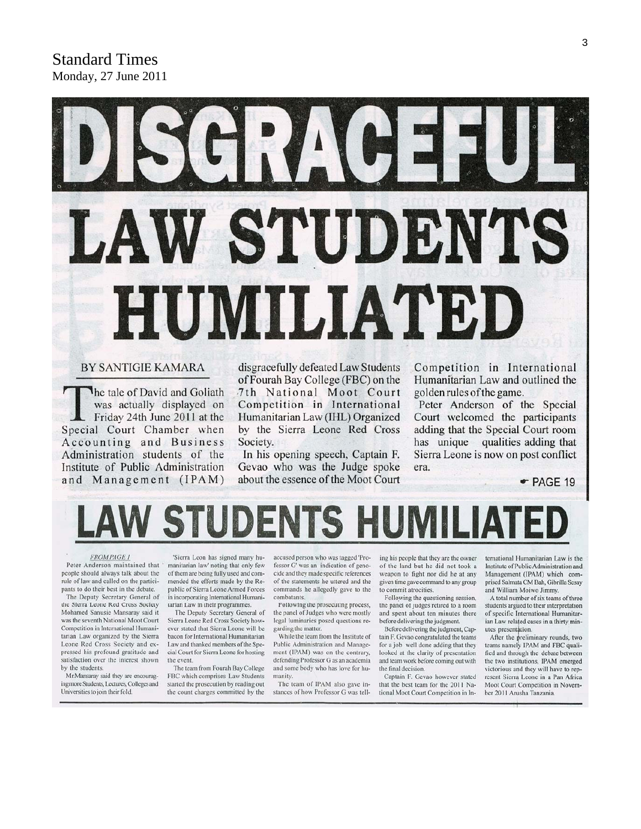# *I* STUDENTS HUMILIATED

#### **BY SANTIGIE KAMARA**

The tale of David and Goliath was actually displayed on Friday 24th June 2011 at the Special Court Chamber when Accounting and Business Administration students of the Institute of Public Administration and Management (IPAM)

disgracefully defeated Law Students of Fourah Bay College (FBC) on the 7th National Moot Court Competition in International Humanitarian Law (IHL) Organized by the Sierra Leone Red Cross Society.

In his opening speech, Captain F. Gevao who was the Judge spoke about the essence of the Moot Court Competition in International Humanitarian Law and outlined the golden rules of the game.

Peter Anderson of the Special Court welcomed the participants adding that the Special Court room has unique qualities adding that Sierra Leone is now on post conflict era.

 $\bullet$  PAGE 19

#### **FROMPAGE 1**

Peter Anderson maintained that people should always talk about the rule of law and called on the participants to do their best in the debate.

The Deputy Secretary General of the Sierra Leone Red Cross Society Mohamed Sanusie Mansaray said it was the seventh National Moot Court Competition in International Humanitarian Law organized by the Sierra Leone Red Cross Society and expressed his profound gratitude and satisfaction over the interest shown by the students.

Mr.Mansaray said they are encouraging more Students, Lectures, Colleges and Universities to join their fold.

'Sierra Leon has signed many humanitarian law' noting that only few of them are being fully used and commended the efforts made by the Republic of Sierra Leone Armed Forces in incorporating International Humanitarian Law in their programmes.

The Deputy Secretary General of Sierra Leone Red Cross Society however stated that Sierra Leone will be bacon for International Humanitarian Law and thanked members of the Special Court for Sierra Leone for hosting the event.

The team from Fourah Bay College FBC which comprises Law Students started the prosecution by reading out the count charges committed by the

accused person who was tagged 'Professor G' was an indication of genocide and they made specific references of the statements he uttered and the commands he allegedly gave to the combatants.

Following the prosecuting process, the panel of Judges who were mostly legal luminaries posed questions regarding the matter.

While the team from the Institute of Public Administration and Management (IPAM) was on the contrary, defending Professor G as an academia and some body who has love for humanity.

The team of IPAM also gave instances of how Professor G was tell-

ing his people that they are the owner of the land but he did not took a weapon to fight nor did he at any given time gave command to any group to commit atrocities.

Following the questioning session, the panel of judges retired to a room and spent about ten minutes there before delivering the judgment.

Before delivering the judgment, Captain F. Gevao congratulated the teams for a job well done adding that they looked at the clarity of presentation and team work before coming out with the final decision.

Captain F. Gevao however stated that the best team for the 2011 National Moot Court Competition in International Humanitarian Law is the Institute of Public Administration and Management (IPAM) which comprised Salmata CM Bah, Gibrilla Sesay and William Moiwo Jimmy.

A total number of six teams of three students argued to their interpretation of specific International Humanitarian Law related cases in a thirty minutes presentation.

After the preliminary rounds, two teams namely IPAM and FBC qualified and through the debate between the two institutions, IPAM emerged victorious and they will have to represent Sierra Leone in a Pan Africa Moot Court Competition in November 2011 Arusha Tanzania.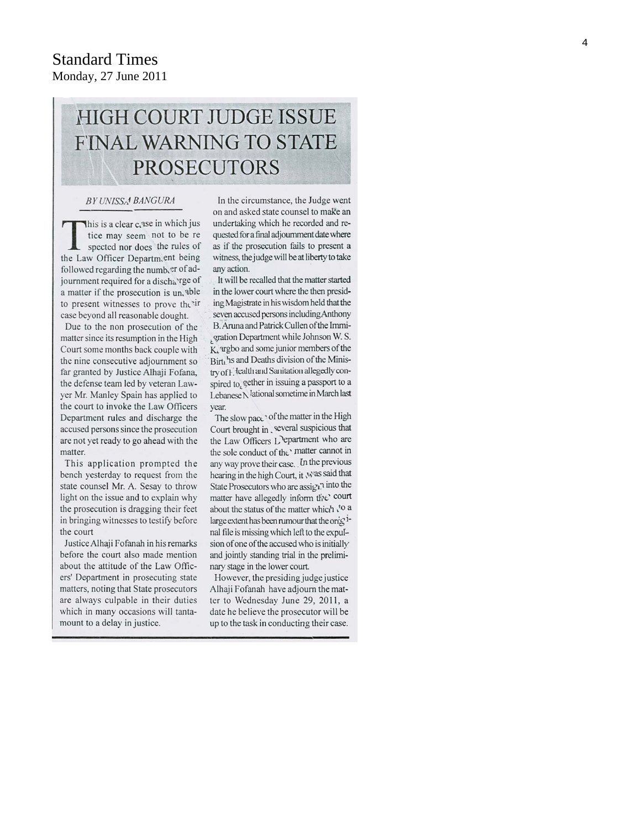#### **Standard Times** Monday, 27 June 2011

### **HIGH COURT JUDGE ISSUE FINAL WARNING TO STATE PROSECUTORS**

#### BY UNISSA<sup>4</sup> BANGURA

This is a clear case in which jus tice may seem not to be re spected nor does the rules of the Law Officer Departm.ent being followed regarding the numb er of adjournment required for a discha'rge of a matter if the prosecution is un, able to present witnesses to prove the ir case beyond all reasonable dought.

Due to the non prosecution of the matter since its resumption in the High Court some months back couple with the nine consecutive adjournment so far granted by Justice Alhaji Fofana, the defense team led by veteran Lawyer Mr. Manley Spain has applied to the court to invoke the Law Officers Department rules and discharge the accused persons since the prosecution are not yet ready to go ahead with the matter.

This application prompted the bench yesterday to request from the state counsel Mr. A. Sesay to throw light on the issue and to explain why the prosecution is dragging their feet in bringing witnesses to testify before the court

Justice Alhaji Fofanah in his remarks before the court also made mention about the attitude of the Law Officers' Department in prosecuting state matters, noting that State prosecutors are always culpable in their duties which in many occasions will tantamount to a delay in justice.

In the circumstance, the Judge went on and asked state counsel to make an undertaking which he recorded and requested for a final adjournment date where as if the prosecution fails to present a witness, the judge will be at liberty to take any action.

It will be recalled that the matter started in the lower court where the then presiding Magistrate in his wisdom held that the seven accused persons including Anthony B. Aruna and Patrick Cullen of the Immigration Department while Johnson W. S. K, argbo and some junior members of the Birth's and Deaths division of the Ministry of Health and Sanitation allegedly conspired to, gether in issuing a passport to a Lebanese N <sup>I</sup>ational sometime in March last year.

The slow pace' of the matter in the High Court brought in several suspicious that the Law Officers L'epartment who are the sole conduct of the' matter cannot in any way prove their case. In the previous hearing in the high Court, it was said that State Prosecutors who are assign? into the matter have allegedly inform the court about the status of the matter which to a large extent has been rumour that the onightnal file is missing which left to the expulsion of one of the accused who is initially and jointly standing trial in the preliminary stage in the lower court.

However, the presiding judge justice Alhaji Fofanah have adjourn the matter to Wednesday June 29, 2011, a date he believe the prosecutor will be up to the task in conducting their case.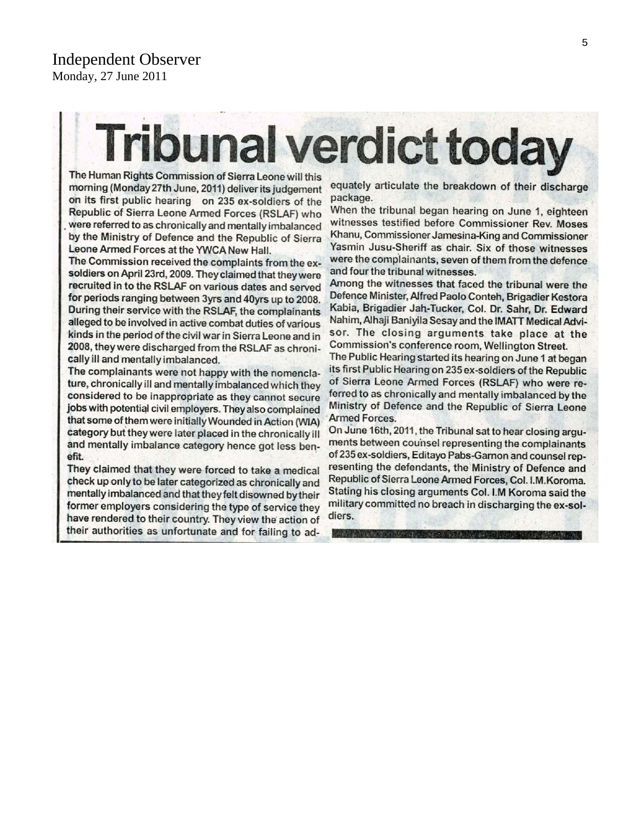# **Tribunal verdict today**

The Human Rights Commission of Sierra Leone will this morning (Monday 27th June, 2011) deliver its judgement on its first public hearing on 235 ex-soldiers of the Republic of Sierra Leone Armed Forces (RSLAF) who were referred to as chronically and mentally imbalanced by the Ministry of Defence and the Republic of Sierra Leone Armed Forces at the YWCA New Hall.

The Commission received the complaints from the exsoldiers on April 23rd, 2009. They claimed that they were recruited in to the RSLAF on various dates and served for periods ranging between 3yrs and 40yrs up to 2008. During their service with the RSLAF, the complainants alleged to be involved in active combat duties of various kinds in the period of the civil war in Sierra Leone and in 2008, they were discharged from the RSLAF as chronically ill and mentally imbalanced.

The complainants were not happy with the nomenclature, chronically ill and mentally imbalanced which they considered to be inappropriate as they cannot secure jobs with potential civil employers. They also complained that some of them were initially Wounded in Action (WIA) category but they were later placed in the chronically ill and mentally imbalance category hence got less benefit.

They claimed that they were forced to take a medical check up only to be later categorized as chronically and mentally imbalanced and that they felt disowned by their former employers considering the type of service they have rendered to their country. They view the action of their authorities as unfortunate and for failing to adequately articulate the breakdown of their discharge package.

When the tribunal began hearing on June 1, eighteen witnesses testified before Commissioner Rev. Moses Khanu, Commissioner Jamesina-King and Commissioner Yasmin Jusu-Sheriff as chair. Six of those witnesses were the complainants, seven of them from the defence and four the tribunal witnesses.

Among the witnesses that faced the tribunal were the Defence Minister, Alfred Paolo Conteh, Brigadier Kestora Kabia, Brigadier Jah-Tucker, Col. Dr. Sahr, Dr. Edward Nahim, Alhaji Baniyila Sesay and the IMATT Medical Advisor. The closing arguments take place at the Commission's conference room, Wellington Street.

The Public Hearing started its hearing on June 1 at began its first Public Hearing on 235 ex-soldiers of the Republic of Sierra Leone Armed Forces (RSLAF) who were referred to as chronically and mentally imbalanced by the Ministry of Defence and the Republic of Sierra Leone **Armed Forces.** 

On June 16th, 2011, the Tribunal sat to hear closing arguments between counsel representing the complainants of 235 ex-soldiers, Editayo Pabs-Garnon and counsel representing the defendants, the Ministry of Defence and Republic of Sierra Leone Armed Forces, Col. I.M. Koroma. Stating his closing arguments Col. I.M Koroma said the military committed no breach in discharging the ex-soldiers.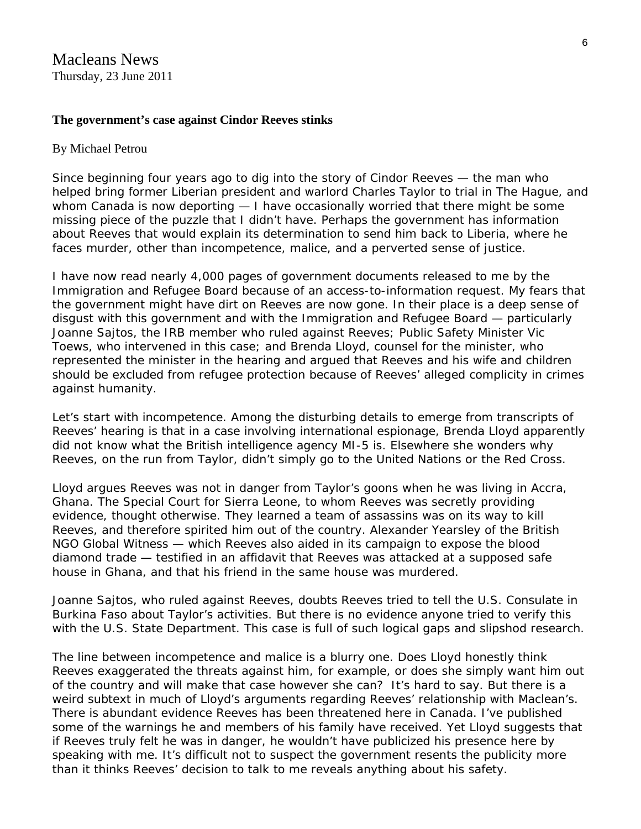Macleans News Thursday, 23 June 2011

#### **The government's case against Cindor Reeves stinks**

#### By [Michael Petrou](http://www2.macleans.ca/author/mpetrou/)

Since beginning four years ago to dig into the story of [Cindor Reeves](http://www2.macleans.ca/2009/07/22/the-man-who-brought-down-a-tyrant/) — the man who helped bring former Liberian president and warlord Charles Taylor to trial in The Hague, and whom Canada is now deporting — I have occasionally worried that there might be some missing piece of the puzzle that I didn't have. Perhaps the government has information about Reeves that would explain its [determination](http://www2.macleans.ca/2011/01/28/canada-on-verge-of-deporting-the-man-who-brought-a-tyrant-to-justice/) to send him back to Liberia, where he faces murder, other than incompetence, malice, and a perverted sense of justice.

I have now read nearly 4,000 pages of government documents released to me by the Immigration and Refugee Board because of an access-to-information request. My fears that the government might have dirt on Reeves are now gone. In their place is a deep sense of disgust with this government and with the Immigration and Refugee Board — particularly Joanne Sajtos, the IRB member who ruled against Reeves; Public Safety Minister Vic Toews, who intervened in this case; and Brenda Lloyd, counsel for the minister, who represented the minister in the hearing and argued that Reeves and his wife and children should be excluded from refugee protection because of Reeves' alleged complicity in crimes against humanity.

Let's start with incompetence. Among the disturbing details to emerge from transcripts of Reeves' hearing is that in a case involving international espionage, Brenda Lloyd apparently did not know what the British intelligence agency MI-5 is. Elsewhere she wonders why Reeves, on the run from Taylor, didn't simply go to the United Nations or the Red Cross.

Lloyd argues Reeves was not in danger from Taylor's goons when he was living in Accra, Ghana. The Special Court for Sierra Leone, to whom Reeves was secretly providing evidence, thought otherwise. They learned a team of assassins was on its way to kill Reeves, and therefore spirited him out of the country. Alexander Yearsley of the British NGO Global Witness — which Reeves also aided in its campaign to expose the blood diamond trade — testified in an affidavit that Reeves was attacked at a supposed safe house in Ghana, and that his friend in the same house was murdered.

Joanne Sajtos, who ruled against Reeves, doubts Reeves tried to tell the U.S. Consulate in Burkina Faso about Taylor's activities. But there is no evidence anyone tried to verify this with the U.S. State Department. This case is full of such logical gaps and slipshod research.

The line between incompetence and malice is a blurry one. Does Lloyd honestly think Reeves exaggerated the threats against him, for example, or does she simply want him out of the country and will make that case however she can? It's hard to say. But there is a weird subtext in much of Lloyd's arguments regarding Reeves' relationship with *Maclean's*. There is abundant evidence Reeves has been threatened here in Canada. I've published some of the [warnings](http://www2.macleans.ca/2011/02/10/you-will-rot-in-hell-you-know-the-price-for-snitching-liberians-on-cindor-reeves/) he and members of his family have received. Yet Lloyd suggests that if Reeves truly felt he was in danger, he wouldn't have publicized his presence here by speaking with me. It's difficult not to suspect the government resents the publicity more than it thinks Reeves' decision to talk to me reveals anything about his safety.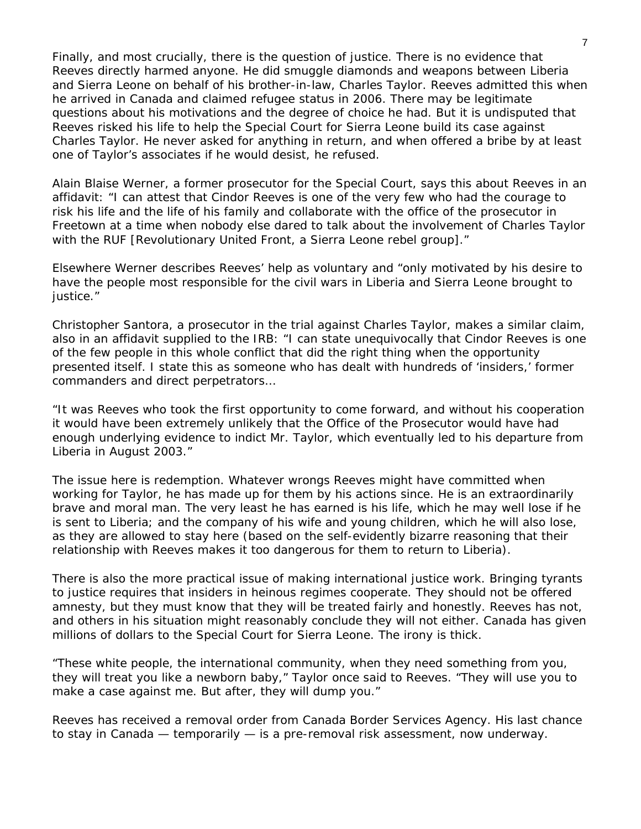Finally, and most crucially, there is the question of justice. There is no evidence that Reeves directly harmed anyone. He did smuggle diamonds and weapons between Liberia and Sierra Leone on behalf of his brother-in-law, Charles Taylor. Reeves admitted this when he arrived in Canada and claimed refugee status in 2006. There may be legitimate questions about his motivations and the degree of choice he had. But it is undisputed that Reeves risked his life to help the Special Court for Sierra Leone build its case against Charles Taylor. He never asked for anything in return, and when offered a bribe by at least one of Taylor's associates if he would desist, he refused.

Alain Blaise Werner, a former prosecutor for the Special Court, says this about Reeves in an affidavit: "I can attest that Cindor Reeves is one of the very few who had the courage to risk his life and the life of his family and collaborate with the office of the prosecutor in Freetown at a time when nobody else dared to talk about the involvement of Charles Taylor with the RUF [Revolutionary United Front, a Sierra Leone rebel group]."

Elsewhere Werner describes Reeves' help as voluntary and "only motivated by his desire to have the people most responsible for the civil wars in Liberia and Sierra Leone brought to justice."

Christopher Santora, a prosecutor in the trial against Charles Taylor, makes a similar claim, also in an affidavit supplied to the IRB: "I can state unequivocally that Cindor Reeves is one of the few people in this whole conflict that did the right thing when the opportunity presented itself. I state this as someone who has dealt with hundreds of 'insiders,' former commanders and direct perpetrators…

"It was Reeves who took the first opportunity to come forward, and without his cooperation it would have been extremely unlikely that the Office of the Prosecutor would have had enough underlying evidence to indict Mr. Taylor, which eventually led to his departure from Liberia in August 2003."

The issue here is redemption. Whatever wrongs Reeves might have committed when working for Taylor, he has made up for them by his actions since. He is an extraordinarily brave and moral man. The very least he has earned is his life, which he may well lose if he is sent to Liberia; and the company of his wife and young children, which he will also lose, as they are allowed to stay here (based on the self-evidently bizarre reasoning that their relationship with Reeves makes it too dangerous for them to return to Liberia).

There is also the more practical issue of making international justice work. Bringing tyrants to justice requires that insiders in heinous regimes cooperate. They should not be offered amnesty, but they must know that they will be treated fairly and honestly. Reeves has not, and others in his situation might reasonably conclude they will not either. Canada has given millions of dollars to the Special Court for Sierra Leone. The irony is thick.

"These white people, the international community, when they need something from you, they will treat you like a newborn baby," Taylor once said to Reeves. "They will use you to make a case against me. But after, they will dump you."

Reeves has received a removal order from Canada Border Services Agency. His last chance to stay in Canada — temporarily — is a pre-removal risk assessment, now underway.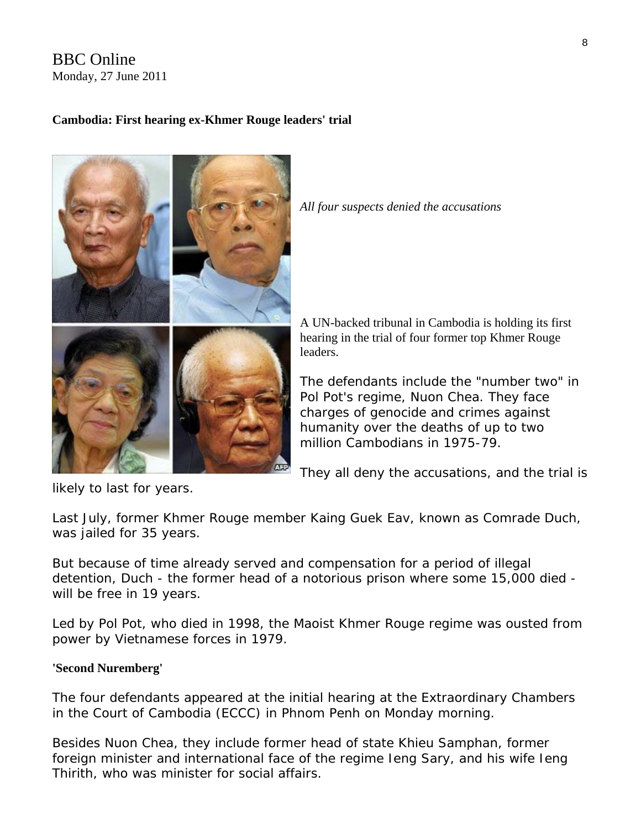#### BBC Online Monday, 27 June 2011

#### **Cambodia: First hearing ex-Khmer Rouge leaders' trial**



*All four suspects denied the accusations* 

A UN-backed tribunal in Cambodia is holding its first hearing in the trial of four former top Khmer Rouge leaders.

The defendants include the "number two" in Pol Pot's regime, Nuon Chea. They face charges of genocide and crimes against humanity over the deaths of up to two million Cambodians in 1975-79.

They all deny the accusations, and the trial is

likely to last for years.

Last July, former Khmer Rouge member Kaing Guek Eav, known as Comrade Duch, was jailed for 35 years.

But because of time already served and compensation for a period of illegal detention, Duch - the former head of a notorious prison where some 15,000 died will be free in 19 years.

Led by Pol Pot, who died in 1998, the Maoist Khmer Rouge regime was ousted from power by Vietnamese forces in 1979.

#### **'Second Nuremberg'**

The four defendants appeared at the initial hearing at the Extraordinary Chambers in the Court of Cambodia (ECCC) in Phnom Penh on Monday morning.

Besides Nuon Chea, they include former head of state Khieu Samphan, former foreign minister and international face of the regime Ieng Sary, and his wife Ieng Thirith, who was minister for social affairs.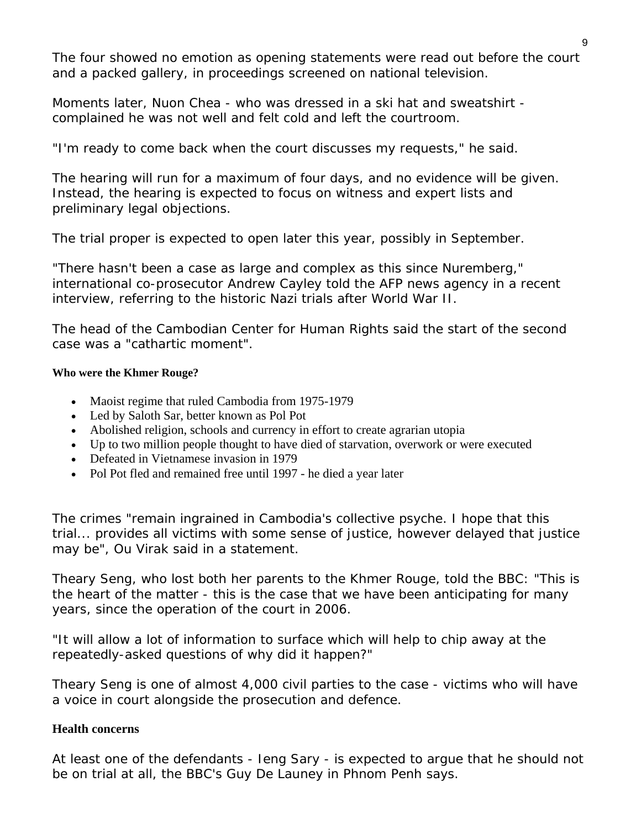The four showed no emotion as opening statements were read out before the court and a packed gallery, in proceedings screened on national television.

Moments later, Nuon Chea - who was dressed in a ski hat and sweatshirt complained he was not well and felt cold and left the courtroom.

"I'm ready to come back when the court discusses my requests," he said.

The hearing will run for a maximum of four days, and no evidence will be given. Instead, the hearing is expected to focus on witness and expert lists and preliminary legal objections.

The trial proper is expected to open later this year, possibly in September.

"There hasn't been a case as large and complex as this since Nuremberg," international co-prosecutor Andrew Cayley told the AFP news agency in a recent interview, referring to the historic Nazi trials after World War II.

The head of the Cambodian Center for Human Rights said the start of the second case was a "cathartic moment".

#### **Who were the Khmer Rouge?**

- Maoist regime that ruled Cambodia from 1975-1979
- Led by Saloth Sar, better known as Pol Pot
- Abolished religion, schools and currency in effort to create agrarian utopia
- Up to two million people thought to have died of starvation, overwork or were executed
- Defeated in Vietnamese invasion in 1979
- Pol Pot fled and remained free until 1997 he died a year later

The crimes "remain ingrained in Cambodia's collective psyche. I hope that this trial... provides all victims with some sense of justice, however delayed that justice may be", Ou Virak said in a statement.

Theary Seng, who lost both her parents to the Khmer Rouge, told the BBC: "This is the heart of the matter - this is the case that we have been anticipating for many years, since the operation of the court in 2006.

"It will allow a lot of information to surface which will help to chip away at the repeatedly-asked questions of why did it happen?"

Theary Seng is one of almost 4,000 civil parties to the case - victims who will have a voice in court alongside the prosecution and defence.

#### **Health concerns**

At least one of the defendants - Ieng Sary - is expected to argue that he should not be on trial at all, the BBC's Guy De Launey in Phnom Penh says.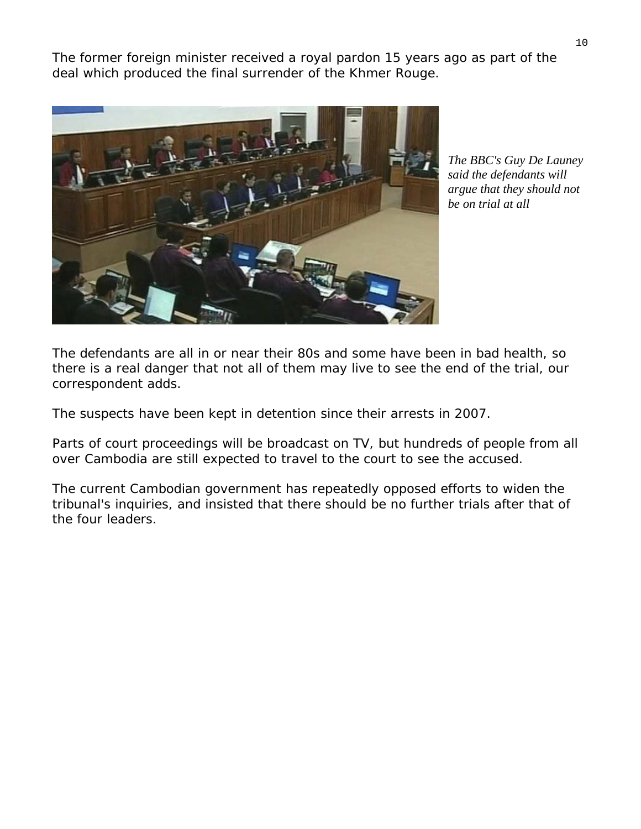The former foreign minister received a royal pardon 15 years ago as part of the deal which produced the final surrender of the Khmer Rouge.



*The BBC's Guy De Launey said the defendants will argue that they should not be on trial at all* 

The defendants are all in or near their 80s and some have been in bad health, so there is a real danger that not all of them may live to see the end of the trial, our correspondent adds.

The suspects have been kept in detention since their arrests in 2007.

Parts of court proceedings will be broadcast on TV, but hundreds of people from all over Cambodia are still expected to travel to the court to see the accused.

The current Cambodian government has repeatedly opposed efforts to widen the tribunal's inquiries, and insisted that there should be no further trials after that of the four leaders.